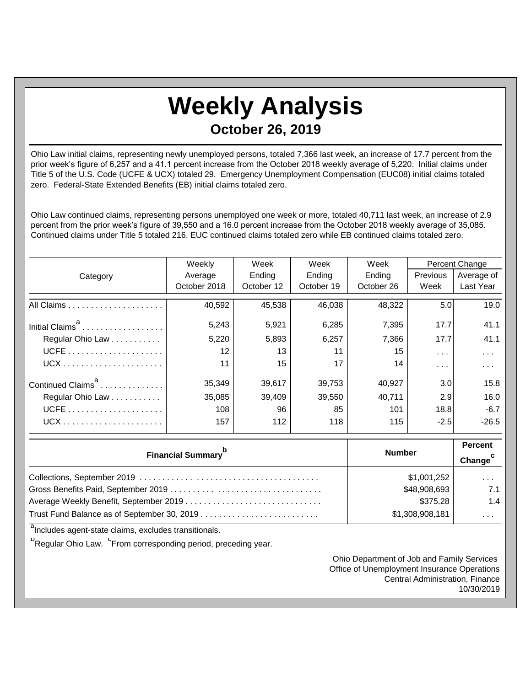## **Weekly Analysis October 26, 2019**

Ohio Law initial claims, representing newly unemployed persons, totaled 7,366 last week, an increase of 17.7 percent from the prior week's figure of 6,257 and a 41.1 percent increase from the October 2018 weekly average of 5,220. Initial claims under Title 5 of the U.S. Code (UCFE & UCX) totaled 29. Emergency Unemployment Compensation (EUC08) initial claims totaled zero. Federal-State Extended Benefits (EB) initial claims totaled zero.

Ohio Law continued claims, representing persons unemployed one week or more, totaled 40,711 last week, an increase of 2.9 percent from the prior week's figure of 39,550 and a 16.0 percent increase from the October 2018 weekly average of 35,085. Continued claims under Title 5 totaled 216. EUC continued claims totaled zero while EB continued claims totaled zero.

|                               | Weekly            | Week<br>Week |            | Week       |                  | Percent Change |  |
|-------------------------------|-------------------|--------------|------------|------------|------------------|----------------|--|
| Category                      | Average           | Ending       | Ending     | Ending     | Previous         | Average of     |  |
|                               | October 2018      | October 12   | October 19 | October 26 | Week             | Last Year      |  |
|                               | 40,592            | 45,538       | 46,038     | 48,322     | 5.0              | 19.0           |  |
| Initial Claims <sup>a</sup>   | 5,243             | 5,921        | 6,285      | 7,395      | 17.7             | 41.1           |  |
| Regular Ohio Law              | 5,220             | 5,893        | 6,257      | 7,366      | 17.7             | 41.1           |  |
|                               | $12 \overline{ }$ | 13           | 11         | 15         | $\sim$ $\sim$    | .              |  |
|                               | 11                | 15           | 17         | 14         | .                | .              |  |
| Continued Claims <sup>a</sup> | 35,349            | 39,617       | 39,753     | 40.927     | 3.0 <sub>l</sub> | 15.8           |  |
| Regular Ohio Law              | 35,085            | 39,409       | 39,550     | 40,711     | 2.9              | 16.0           |  |
|                               | 108               | 96           | 85         | 101        | 18.8             | $-6.7$         |  |
| $UCX$                         | 157               | 112          | 118        | 115        | $-2.5$           | $-26.5$        |  |

| <b>Financial Summary</b> <sup>p</sup> | <b>Number</b>   | <b>Percent</b><br>Change <sup>c</sup> |
|---------------------------------------|-----------------|---------------------------------------|
|                                       | \$1,001,252     | $\cdots$                              |
|                                       | \$48,908,693    | 7.1                                   |
|                                       | \$375.28        | 1.4                                   |
|                                       | \$1,308,908,181 | $\cdots$                              |

<sup>a</sup>Includes agent-state claims, excludes transitionals.

<sup>b</sup>Regular Ohio Law. <sup>C</sup>From corresponding period, preceding year.

Ohio Department of Job and Family Services Office of Unemployment Insurance Operations Central Administration, Finance 10/30/2019